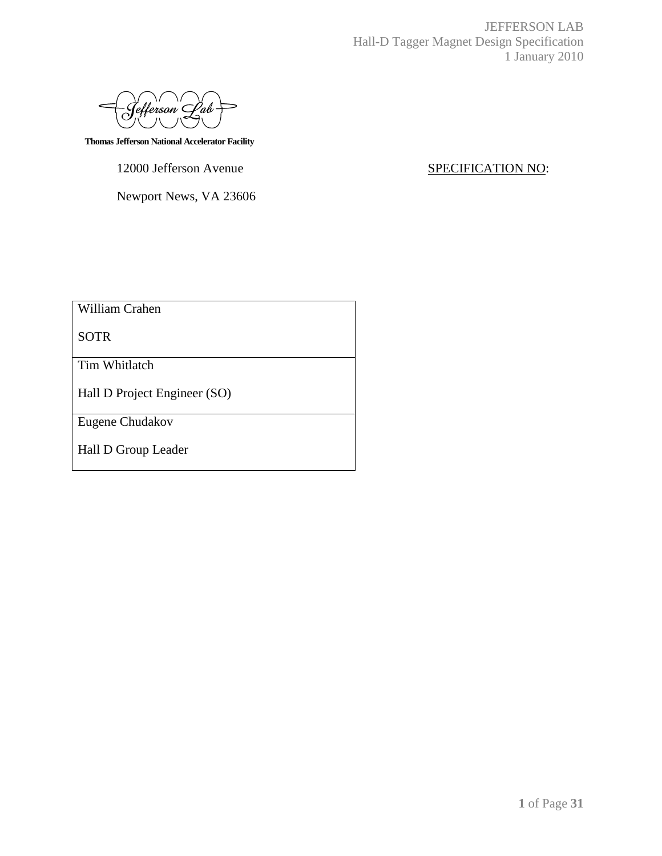|<br>|efferson' Lab

 **Thomas Jefferson National Accelerator Facility**

12000 Jefferson Avenue SPECIFICATION NO:

Newport News, VA 23606

William Crahen

SOTR

Tim Whitlatch

Hall D Project Engineer (SO)

Eugene Chudakov

Hall D Group Leader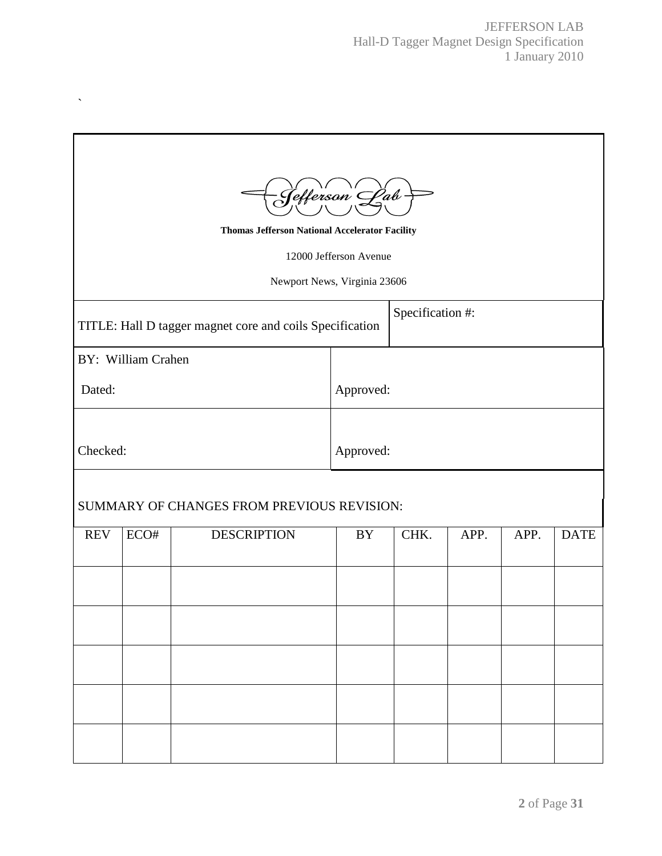| - Jefferson <sup>'</sup> L <sup>o</sup> ab<br><b>Thomas Jefferson National Accelerator Facility</b><br>12000 Jefferson Avenue<br>Newport News, Virginia 23606 |                    |                                                          |           |                  |      |      |             |  |
|---------------------------------------------------------------------------------------------------------------------------------------------------------------|--------------------|----------------------------------------------------------|-----------|------------------|------|------|-------------|--|
|                                                                                                                                                               |                    | TITLE: Hall D tagger magnet core and coils Specification |           | Specification #: |      |      |             |  |
|                                                                                                                                                               | BY: William Crahen |                                                          |           |                  |      |      |             |  |
| Dated:                                                                                                                                                        |                    |                                                          | Approved: |                  |      |      |             |  |
| Checked:                                                                                                                                                      |                    |                                                          | Approved: |                  |      |      |             |  |
|                                                                                                                                                               |                    |                                                          |           |                  |      |      |             |  |
| SUMMARY OF CHANGES FROM PREVIOUS REVISION:                                                                                                                    |                    |                                                          |           |                  |      |      |             |  |
| <b>REV</b>                                                                                                                                                    | ECO#               | <b>DESCRIPTION</b>                                       | BY        | CHK.             | APP. | APP. | <b>DATE</b> |  |
|                                                                                                                                                               |                    |                                                          |           |                  |      |      |             |  |
|                                                                                                                                                               |                    |                                                          |           |                  |      |      |             |  |
|                                                                                                                                                               |                    |                                                          |           |                  |      |      |             |  |
|                                                                                                                                                               |                    |                                                          |           |                  |      |      |             |  |
|                                                                                                                                                               |                    |                                                          |           |                  |      |      |             |  |

 $\ddot{\phantom{0}}$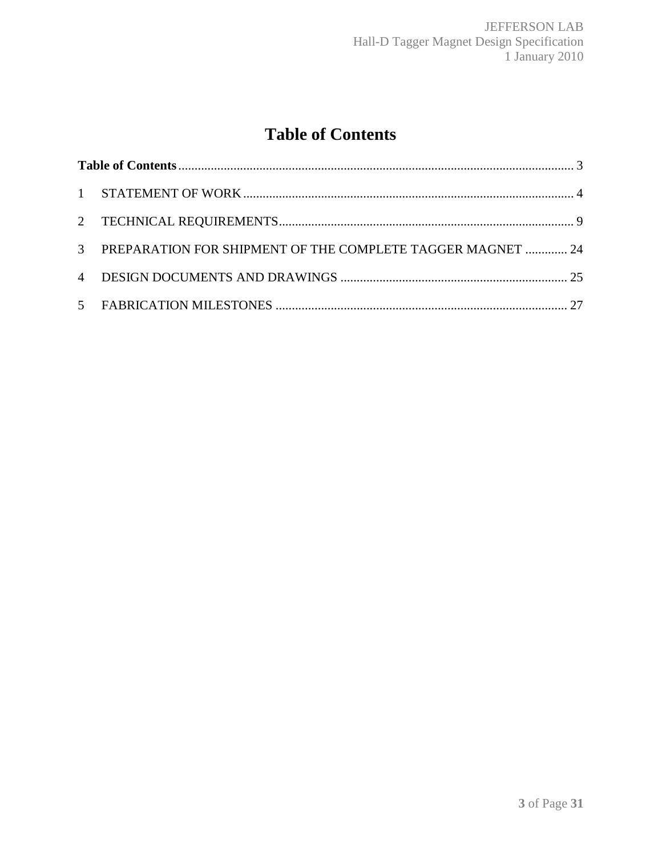# **Table of Contents**

| 3 PREPARATION FOR SHIPMENT OF THE COMPLETE TAGGER MAGNET  24 |  |
|--------------------------------------------------------------|--|
|                                                              |  |
|                                                              |  |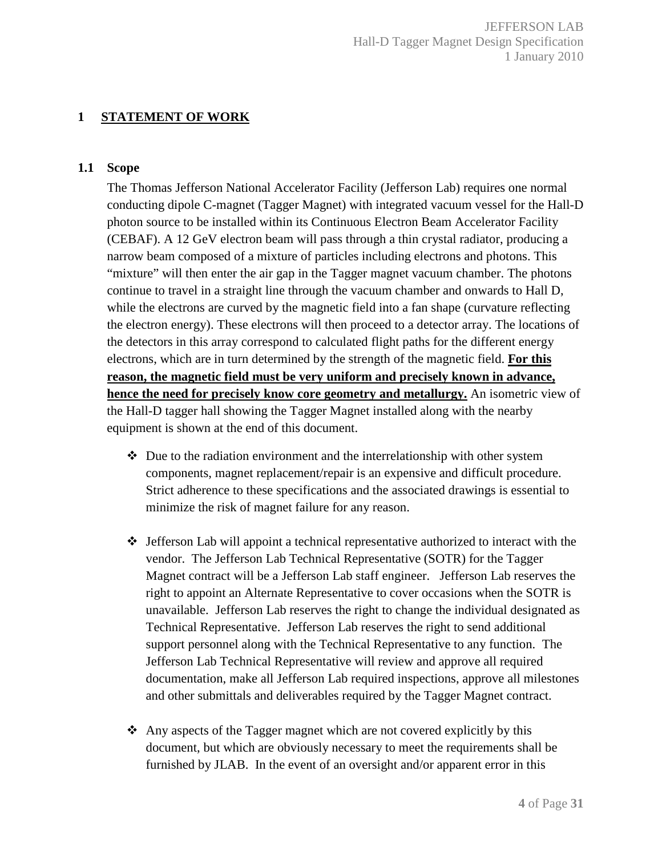## **1 STATEMENT OF WORK**

#### **1.1 Scope**

The Thomas Jefferson National Accelerator Facility (Jefferson Lab) requires one normal conducting dipole C-magnet (Tagger Magnet) with integrated vacuum vessel for the Hall-D photon source to be installed within its Continuous Electron Beam Accelerator Facility (CEBAF). A 12 GeV electron beam will pass through a thin crystal radiator, producing a narrow beam composed of a mixture of particles including electrons and photons. This "mixture" will then enter the air gap in the Tagger magnet vacuum chamber. The photons continue to travel in a straight line through the vacuum chamber and onwards to Hall D, while the electrons are curved by the magnetic field into a fan shape (curvature reflecting the electron energy). These electrons will then proceed to a detector array. The locations of the detectors in this array correspond to calculated flight paths for the different energy electrons, which are in turn determined by the strength of the magnetic field. **For this reason, the magnetic field must be very uniform and precisely known in advance, hence the need for precisely know core geometry and metallurgy.** An isometric view of the Hall-D tagger hall showing the Tagger Magnet installed along with the nearby equipment is shown at the end of this document.

- $\mathbf{\hat{P}}$  Due to the radiation environment and the interrelationship with other system components, magnet replacement/repair is an expensive and difficult procedure. Strict adherence to these specifications and the associated drawings is essential to minimize the risk of magnet failure for any reason.
- $\div$  Jefferson Lab will appoint a technical representative authorized to interact with the vendor. The Jefferson Lab Technical Representative (SOTR) for the Tagger Magnet contract will be a Jefferson Lab staff engineer. Jefferson Lab reserves the right to appoint an Alternate Representative to cover occasions when the SOTR is unavailable. Jefferson Lab reserves the right to change the individual designated as Technical Representative. Jefferson Lab reserves the right to send additional support personnel along with the Technical Representative to any function. The Jefferson Lab Technical Representative will review and approve all required documentation, make all Jefferson Lab required inspections, approve all milestones and other submittals and deliverables required by the Tagger Magnet contract.
- Any aspects of the Tagger magnet which are not covered explicitly by this document, but which are obviously necessary to meet the requirements shall be furnished by JLAB. In the event of an oversight and/or apparent error in this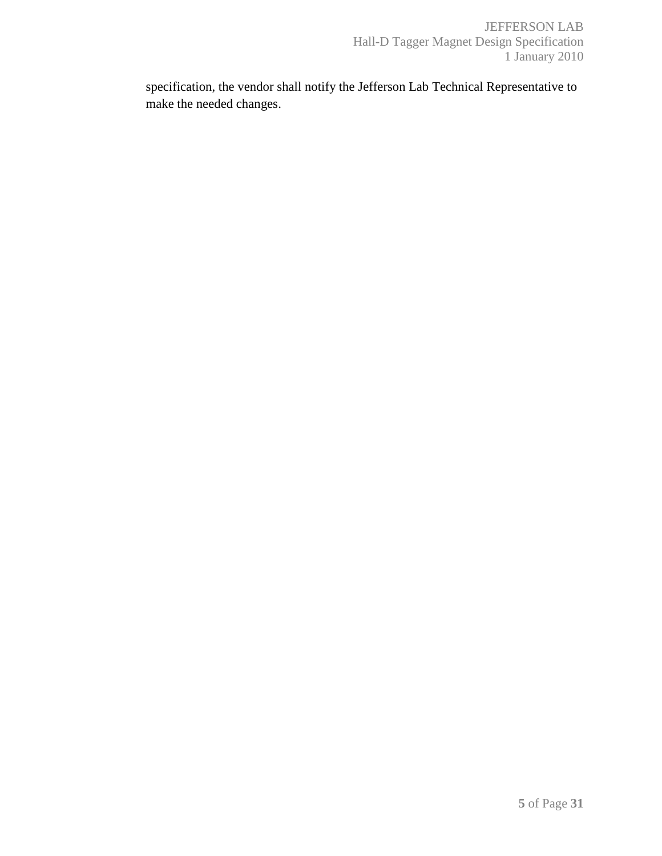specification, the vendor shall notify the Jefferson Lab Technical Representative to make the needed changes.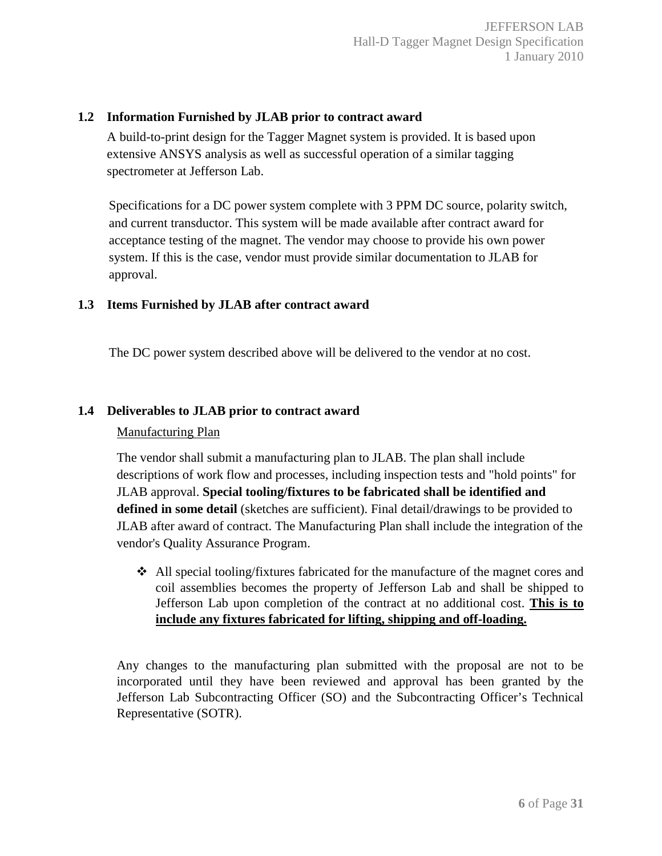#### **1.2 Information Furnished by JLAB prior to contract award**

A build-to-print design for the Tagger Magnet system is provided. It is based upon extensive ANSYS analysis as well as successful operation of a similar tagging spectrometer at Jefferson Lab.

Specifications for a DC power system complete with 3 PPM DC source, polarity switch, and current transductor. This system will be made available after contract award for acceptance testing of the magnet. The vendor may choose to provide his own power system. If this is the case, vendor must provide similar documentation to JLAB for approval.

#### **1.3 Items Furnished by JLAB after contract award**

The DC power system described above will be delivered to the vendor at no cost.

#### **1.4 Deliverables to JLAB prior to contract award**

#### Manufacturing Plan

The vendor shall submit a manufacturing plan to JLAB. The plan shall include descriptions of work flow and processes, including inspection tests and "hold points" for JLAB approval. **Special tooling/fixtures to be fabricated shall be identified and defined in some detail** (sketches are sufficient). Final detail/drawings to be provided to JLAB after award of contract. The Manufacturing Plan shall include the integration of the vendor's Quality Assurance Program.

 $\triangleleft$  All special tooling/fixtures fabricated for the manufacture of the magnet cores and coil assemblies becomes the property of Jefferson Lab and shall be shipped to Jefferson Lab upon completion of the contract at no additional cost. **This is to include any fixtures fabricated for lifting, shipping and off-loading.**

Any changes to the manufacturing plan submitted with the proposal are not to be incorporated until they have been reviewed and approval has been granted by the Jefferson Lab Subcontracting Officer (SO) and the Subcontracting Officer's Technical Representative (SOTR).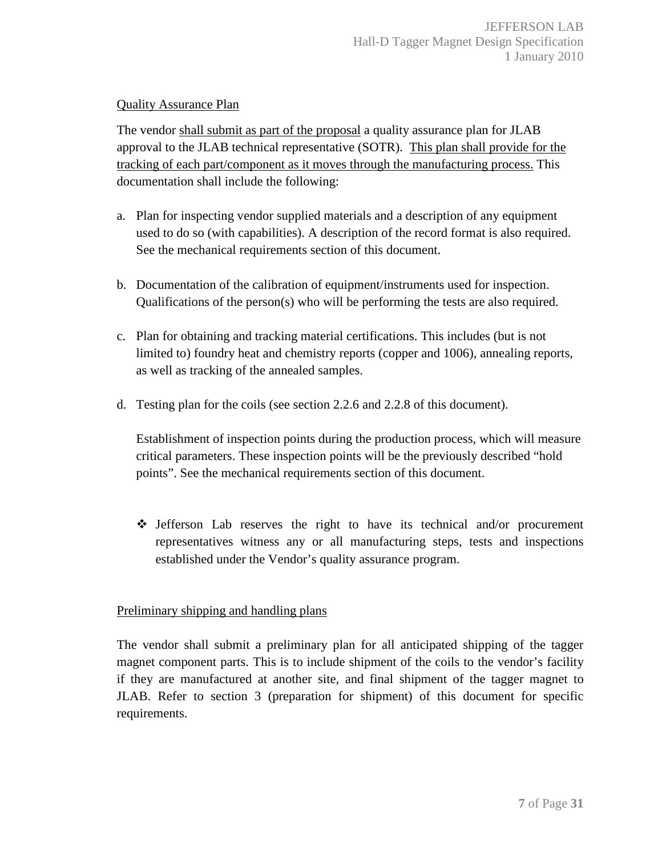## Quality Assurance Plan

The vendor shall submit as part of the proposal a quality assurance plan for JLAB approval to the JLAB technical representative (SOTR). This plan shall provide for the tracking of each part/component as it moves through the manufacturing process. This documentation shall include the following:

- a. Plan for inspecting vendor supplied materials and a description of any equipment used to do so (with capabilities). A description of the record format is also required. See the mechanical requirements section of this document.
- b. Documentation of the calibration of equipment/instruments used for inspection. Qualifications of the person(s) who will be performing the tests are also required.
- c. Plan for obtaining and tracking material certifications. This includes (but is not limited to) foundry heat and chemistry reports (copper and 1006), annealing reports, as well as tracking of the annealed samples.
- d. Testing plan for the coils (see section 2.2.6 and 2.2.8 of this document).

Establishment of inspection points during the production process, which will measure critical parameters. These inspection points will be the previously described "hold points". See the mechanical requirements section of this document.

 $\div$  Jefferson Lab reserves the right to have its technical and/or procurement representatives witness any or all manufacturing steps, tests and inspections established under the Vendor's quality assurance program.

## Preliminary shipping and handling plans

The vendor shall submit a preliminary plan for all anticipated shipping of the tagger magnet component parts. This is to include shipment of the coils to the vendor's facility if they are manufactured at another site, and final shipment of the tagger magnet to JLAB. Refer to section 3 (preparation for shipment) of this document for specific requirements.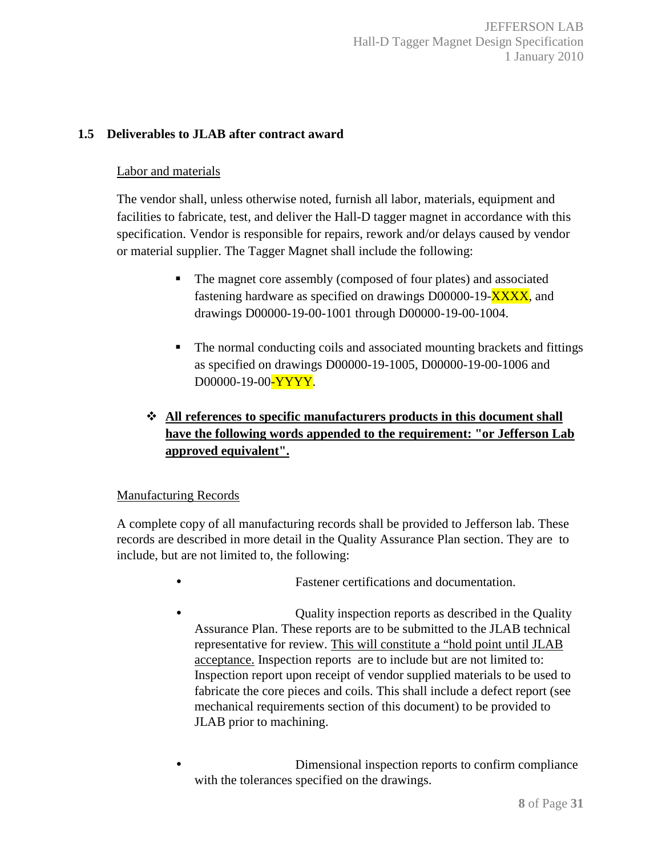## **1.5 Deliverables to JLAB after contract award**

#### Labor and materials

The vendor shall, unless otherwise noted, furnish all labor, materials, equipment and facilities to fabricate, test, and deliver the Hall-D tagger magnet in accordance with this specification. Vendor is responsible for repairs, rework and/or delays caused by vendor or material supplier. The Tagger Magnet shall include the following:

- - The magnet core assembly (composed of four plates) and associated fastening hardware as specified on drawings D00000-19-XXXX, and drawings D00000-19-00-1001 through D00000-19-00-1004.
- - The normal conducting coils and associated mounting brackets and fittings as specified on drawings D00000-19-1005, D00000-19-00-1006 and D00000-19-00-YYYY.

# **All references to specific manufacturers products in this document shall have the following words appended to the requirement: "or Jefferson Lab approved equivalent".**

## Manufacturing Records

A complete copy of all manufacturing records shall be provided to Jefferson lab. These records are described in more detail in the Quality Assurance Plan section. They are to include, but are not limited to, the following:

- Fastener certifications and documentation.
- Quality inspection reports as described in the Quality Assurance Plan. These reports are to be submitted to the JLAB technical representative for review. This will constitute a "hold point until JLAB acceptance. Inspection reports are to include but are not limited to: Inspection report upon receipt of vendor supplied materials to be used to fabricate the core pieces and coils. This shall include a defect report (see mechanical requirements section of this document) to be provided to JLAB prior to machining.
- Dimensional inspection reports to confirm compliance with the tolerances specified on the drawings.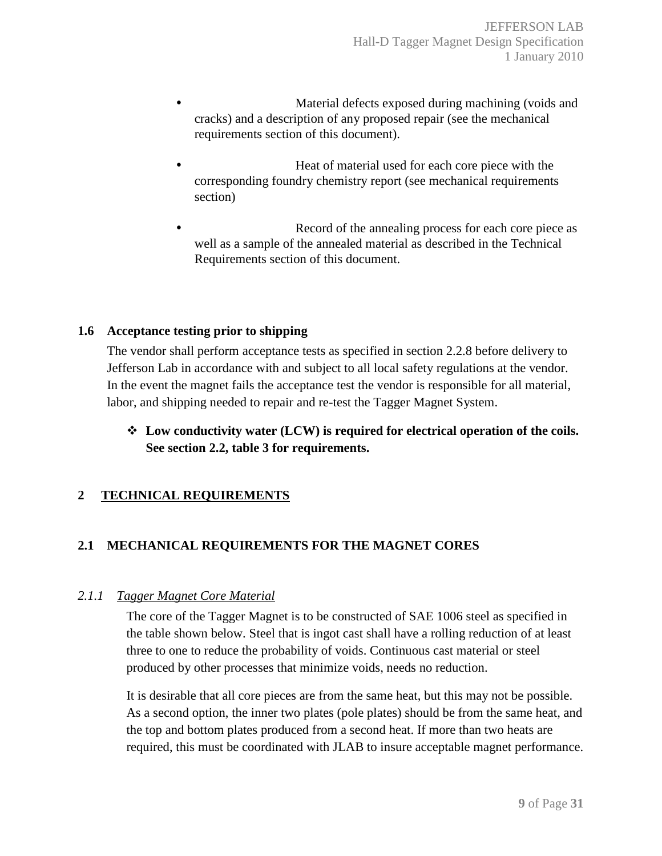- Material defects exposed during machining (voids and cracks) and a description of any proposed repair (see the mechanical requirements section of this document).
- **Heat of material used for each core piece with the** corresponding foundry chemistry report (see mechanical requirements section)
- Record of the annealing process for each core piece as well as a sample of the annealed material as described in the Technical Requirements section of this document.

## **1.6 Acceptance testing prior to shipping**

The vendor shall perform acceptance tests as specified in section 2.2.8 before delivery to Jefferson Lab in accordance with and subject to all local safety regulations at the vendor. In the event the magnet fails the acceptance test the vendor is responsible for all material, labor, and shipping needed to repair and re-test the Tagger Magnet System.

 **Low conductivity water (LCW) is required for electrical operation of the coils. See section 2.2, table 3 for requirements.** 

# **2 TECHNICAL REQUIREMENTS**

# **2.1 MECHANICAL REQUIREMENTS FOR THE MAGNET CORES**

## *2.1.1 Tagger Magnet Core Material*

The core of the Tagger Magnet is to be constructed of SAE 1006 steel as specified in the table shown below. Steel that is ingot cast shall have a rolling reduction of at least three to one to reduce the probability of voids. Continuous cast material or steel produced by other processes that minimize voids, needs no reduction.

It is desirable that all core pieces are from the same heat, but this may not be possible. As a second option, the inner two plates (pole plates) should be from the same heat, and the top and bottom plates produced from a second heat. If more than two heats are required, this must be coordinated with JLAB to insure acceptable magnet performance.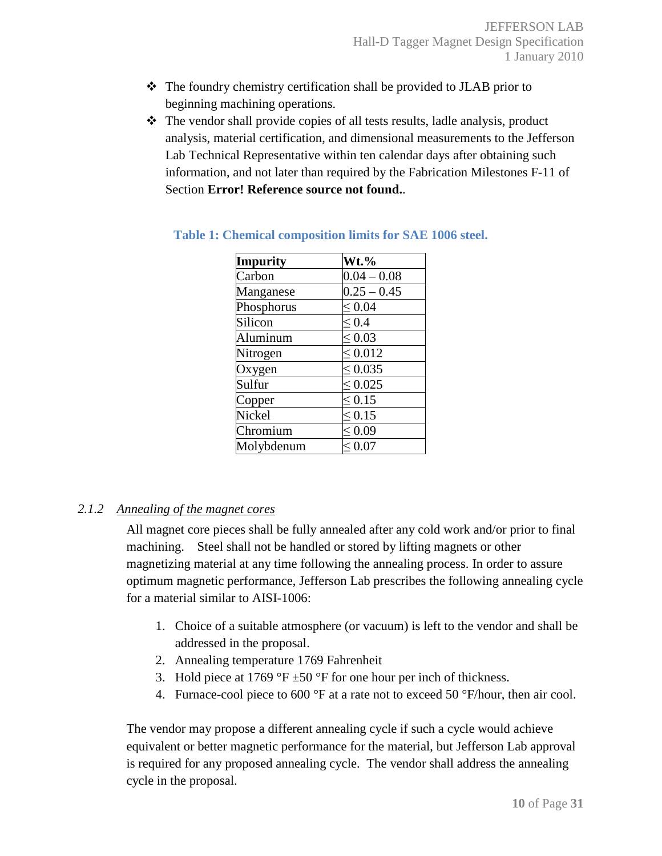- The foundry chemistry certification shall be provided to JLAB prior to beginning machining operations.
- The vendor shall provide copies of all tests results, ladle analysis, product analysis, material certification, and dimensional measurements to the Jefferson Lab Technical Representative within ten calendar days after obtaining such information, and not later than required by the Fabrication Milestones F-11 of Section **Error! Reference source not found.**.

| Impurity   | $Wt.$ %         |
|------------|-----------------|
| Carbon     | $0.04 - 0.08$   |
| Manganese  | $0.25 - 0.45$   |
| Phosphorus | $\leq 0.04$     |
| Silicon    | $\leq 0.4$      |
| Aluminum   | $\leq 0.03$     |
| Nitrogen   | $\leq 0.012$    |
| Oxygen     | ${}^{<}\,0.035$ |
| Sulfur     | $\leq 0.025$    |
| Copper     | $\leq 0.15$     |
| Nickel     | $\leq 0.15$     |
| Chromium   | $\approx 0.09$  |
| Molybdenum | ${}^{< 0.07}$   |

#### **Table 1: Chemical composition limits for SAE 1006 steel.**

## *2.1.2 Annealing of the magnet cores*

All magnet core pieces shall be fully annealed after any cold work and/or prior to final machining. Steel shall not be handled or stored by lifting magnets or other magnetizing material at any time following the annealing process. In order to assure optimum magnetic performance, Jefferson Lab prescribes the following annealing cycle for a material similar to AISI-1006:

- 1. Choice of a suitable atmosphere (or vacuum) is left to the vendor and shall be addressed in the proposal.
- 2. Annealing temperature 1769 Fahrenheit
- 3. Hold piece at 1769 °F  $\pm$ 50 °F for one hour per inch of thickness.
- 4. Furnace-cool piece to 600 °F at a rate not to exceed 50 °F/hour, then air cool.

The vendor may propose a different annealing cycle if such a cycle would achieve equivalent or better magnetic performance for the material, but Jefferson Lab approval is required for any proposed annealing cycle. The vendor shall address the annealing cycle in the proposal.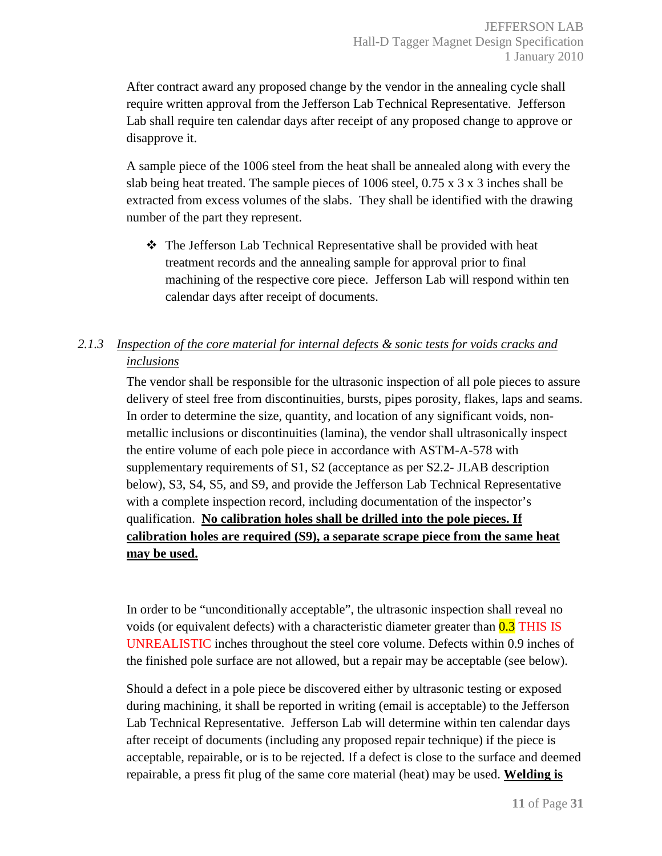After contract award any proposed change by the vendor in the annealing cycle shall require written approval from the Jefferson Lab Technical Representative. Jefferson Lab shall require ten calendar days after receipt of any proposed change to approve or disapprove it.

A sample piece of the 1006 steel from the heat shall be annealed along with every the slab being heat treated. The sample pieces of 1006 steel,  $0.75 \times 3 \times 3$  inches shall be extracted from excess volumes of the slabs. They shall be identified with the drawing number of the part they represent.

 The Jefferson Lab Technical Representative shall be provided with heat treatment records and the annealing sample for approval prior to final machining of the respective core piece. Jefferson Lab will respond within ten calendar days after receipt of documents.

# *2.1.3 Inspection of the core material for internal defects & sonic tests for voids cracks and inclusions*

The vendor shall be responsible for the ultrasonic inspection of all pole pieces to assure delivery of steel free from discontinuities, bursts, pipes porosity, flakes, laps and seams. In order to determine the size, quantity, and location of any significant voids, nonmetallic inclusions or discontinuities (lamina), the vendor shall ultrasonically inspect the entire volume of each pole piece in accordance with ASTM-A-578 with supplementary requirements of S1, S2 (acceptance as per S2.2- JLAB description below), S3, S4, S5, and S9, and provide the Jefferson Lab Technical Representative with a complete inspection record, including documentation of the inspector's qualification. **No calibration holes shall be drilled into the pole pieces. If calibration holes are required (S9), a separate scrape piece from the same heat may be used.**

In order to be "unconditionally acceptable", the ultrasonic inspection shall reveal no voids (or equivalent defects) with a characteristic diameter greater than  $0.3$  THIS IS UNREALISTIC inches throughout the steel core volume. Defects within 0.9 inches of the finished pole surface are not allowed, but a repair may be acceptable (see below).

Should a defect in a pole piece be discovered either by ultrasonic testing or exposed during machining, it shall be reported in writing (email is acceptable) to the Jefferson Lab Technical Representative. Jefferson Lab will determine within ten calendar days after receipt of documents (including any proposed repair technique) if the piece is acceptable, repairable, or is to be rejected. If a defect is close to the surface and deemed repairable, a press fit plug of the same core material (heat) may be used. **Welding is**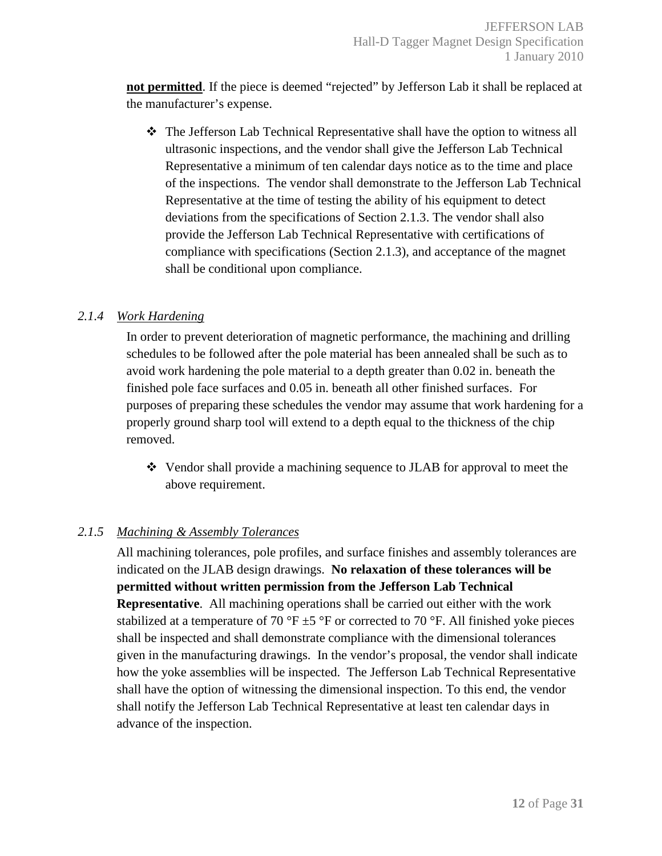**not permitted**. If the piece is deemed "rejected" by Jefferson Lab it shall be replaced at the manufacturer's expense.

 The Jefferson Lab Technical Representative shall have the option to witness all ultrasonic inspections, and the vendor shall give the Jefferson Lab Technical Representative a minimum of ten calendar days notice as to the time and place of the inspections. The vendor shall demonstrate to the Jefferson Lab Technical Representative at the time of testing the ability of his equipment to detect deviations from the specifications of Section 2.1.3. The vendor shall also provide the Jefferson Lab Technical Representative with certifications of compliance with specifications (Section 2.1.3), and acceptance of the magnet shall be conditional upon compliance.

## *2.1.4 Work Hardening*

In order to prevent deterioration of magnetic performance, the machining and drilling schedules to be followed after the pole material has been annealed shall be such as to avoid work hardening the pole material to a depth greater than 0.02 in. beneath the finished pole face surfaces and 0.05 in. beneath all other finished surfaces. For purposes of preparing these schedules the vendor may assume that work hardening for a properly ground sharp tool will extend to a depth equal to the thickness of the chip removed.

 Vendor shall provide a machining sequence to JLAB for approval to meet the above requirement.

# *2.1.5 Machining & Assembly Tolerances*

All machining tolerances, pole profiles, and surface finishes and assembly tolerances are indicated on the JLAB design drawings. **No relaxation of these tolerances will be permitted without written permission from the Jefferson Lab Technical Representative**. All machining operations shall be carried out either with the work stabilized at a temperature of 70 °F  $\pm$ 5 °F or corrected to 70 °F. All finished yoke pieces shall be inspected and shall demonstrate compliance with the dimensional tolerances given in the manufacturing drawings. In the vendor's proposal, the vendor shall indicate how the yoke assemblies will be inspected. The Jefferson Lab Technical Representative shall have the option of witnessing the dimensional inspection. To this end, the vendor shall notify the Jefferson Lab Technical Representative at least ten calendar days in advance of the inspection.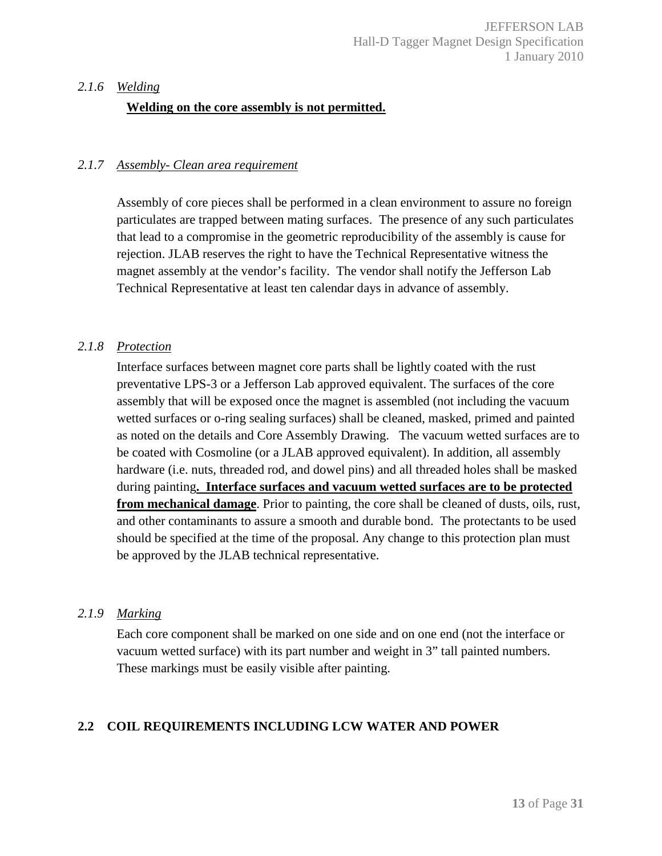#### *2.1.6 Welding*

#### **Welding on the core assembly is not permitted.**

#### *2.1.7 Assembly- Clean area requirement*

Assembly of core pieces shall be performed in a clean environment to assure no foreign particulates are trapped between mating surfaces. The presence of any such particulates that lead to a compromise in the geometric reproducibility of the assembly is cause for rejection. JLAB reserves the right to have the Technical Representative witness the magnet assembly at the vendor's facility. The vendor shall notify the Jefferson Lab Technical Representative at least ten calendar days in advance of assembly.

#### *2.1.8 Protection*

Interface surfaces between magnet core parts shall be lightly coated with the rust preventative LPS-3 or a Jefferson Lab approved equivalent. The surfaces of the core assembly that will be exposed once the magnet is assembled (not including the vacuum wetted surfaces or o-ring sealing surfaces) shall be cleaned, masked, primed and painted as noted on the details and Core Assembly Drawing. The vacuum wetted surfaces are to be coated with Cosmoline (or a JLAB approved equivalent). In addition, all assembly hardware (i.e. nuts, threaded rod, and dowel pins) and all threaded holes shall be masked during painting**. Interface surfaces and vacuum wetted surfaces are to be protected from mechanical damage**. Prior to painting, the core shall be cleaned of dusts, oils, rust, and other contaminants to assure a smooth and durable bond. The protectants to be used should be specified at the time of the proposal. Any change to this protection plan must be approved by the JLAB technical representative.

#### *2.1.9 Marking*

Each core component shall be marked on one side and on one end (not the interface or vacuum wetted surface) with its part number and weight in 3" tall painted numbers. These markings must be easily visible after painting.

#### **2.2 COIL REQUIREMENTS INCLUDING LCW WATER AND POWER**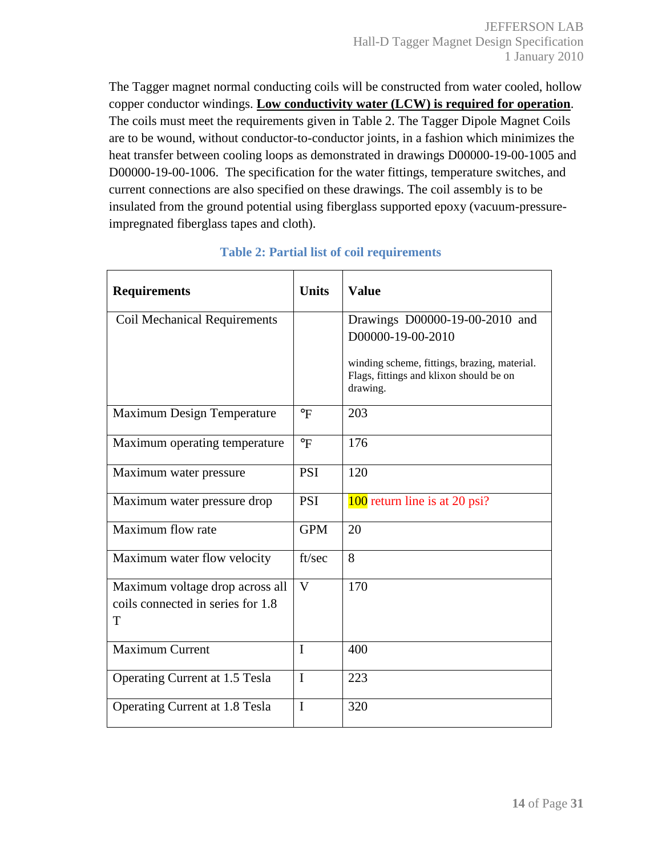The Tagger magnet normal conducting coils will be constructed from water cooled, hollow copper conductor windings. **Low conductivity water (LCW) is required for operation**. The coils must meet the requirements given in Table 2. The Tagger Dipole Magnet Coils are to be wound, without conductor-to-conductor joints, in a fashion which minimizes the heat transfer between cooling loops as demonstrated in drawings D00000-19-00-1005 and D00000-19-00-1006. The specification for the water fittings, temperature switches, and current connections are also specified on these drawings. The coil assembly is to be insulated from the ground potential using fiberglass supported epoxy (vacuum-pressureimpregnated fiberglass tapes and cloth).

| <b>Requirements</b>                                                       | <b>Units</b> | <b>Value</b>                                                                                                                                               |
|---------------------------------------------------------------------------|--------------|------------------------------------------------------------------------------------------------------------------------------------------------------------|
| <b>Coil Mechanical Requirements</b>                                       |              | Drawings D00000-19-00-2010 and<br>D00000-19-00-2010<br>winding scheme, fittings, brazing, material.<br>Flags, fittings and klixon should be on<br>drawing. |
| Maximum Design Temperature                                                | $\circ$ F    | 203                                                                                                                                                        |
| Maximum operating temperature                                             | $\circ$ F    | 176                                                                                                                                                        |
| Maximum water pressure                                                    | <b>PSI</b>   | 120                                                                                                                                                        |
| Maximum water pressure drop                                               | <b>PSI</b>   | 100 return line is at 20 psi?                                                                                                                              |
| Maximum flow rate                                                         | <b>GPM</b>   | 20                                                                                                                                                         |
| Maximum water flow velocity                                               | ft/sec       | 8                                                                                                                                                          |
| Maximum voltage drop across all<br>coils connected in series for 1.8<br>T | V            | 170                                                                                                                                                        |
| <b>Maximum Current</b>                                                    | $\mathbf{I}$ | 400                                                                                                                                                        |
| Operating Current at 1.5 Tesla                                            | $\mathbf I$  | 223                                                                                                                                                        |
| <b>Operating Current at 1.8 Tesla</b>                                     | $\mathbf I$  | 320                                                                                                                                                        |

## **Table 2: Partial list of coil requirements**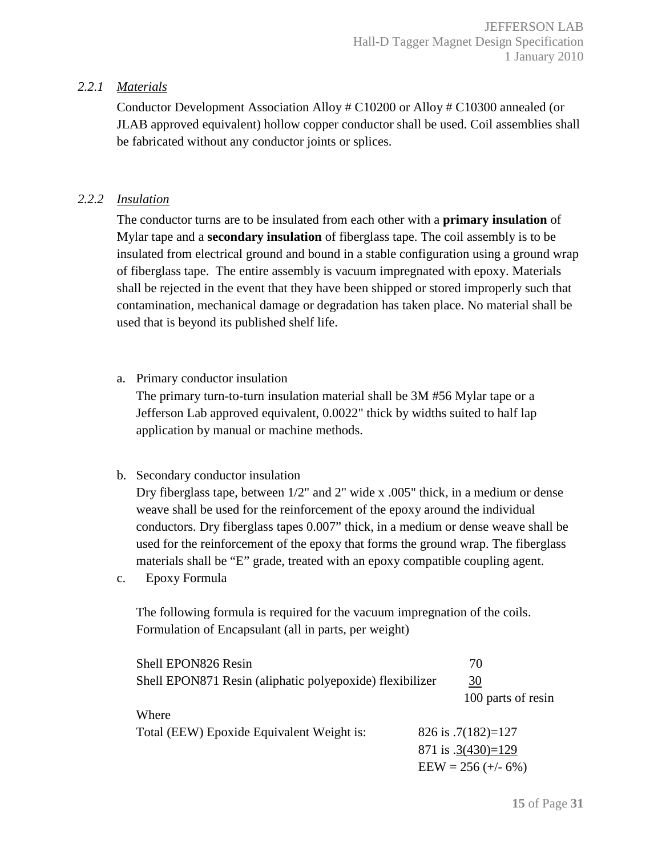## *2.2.1 Materials*

Conductor Development Association Alloy # C10200 or Alloy # C10300 annealed (or JLAB approved equivalent) hollow copper conductor shall be used. Coil assemblies shall be fabricated without any conductor joints or splices.

# *2.2.2 Insulation*

The conductor turns are to be insulated from each other with a **primary insulation** of Mylar tape and a **secondary insulation** of fiberglass tape. The coil assembly is to be insulated from electrical ground and bound in a stable configuration using a ground wrap of fiberglass tape. The entire assembly is vacuum impregnated with epoxy. Materials shall be rejected in the event that they have been shipped or stored improperly such that contamination, mechanical damage or degradation has taken place. No material shall be used that is beyond its published shelf life.

a. Primary conductor insulation

The primary turn-to-turn insulation material shall be 3M #56 Mylar tape or a Jefferson Lab approved equivalent, 0.0022" thick by widths suited to half lap application by manual or machine methods.

## b. Secondary conductor insulation

Dry fiberglass tape, between 1/2" and 2" wide x .005" thick, in a medium or dense weave shall be used for the reinforcement of the epoxy around the individual conductors. Dry fiberglass tapes 0.007" thick, in a medium or dense weave shall be used for the reinforcement of the epoxy that forms the ground wrap. The fiberglass materials shall be "E" grade, treated with an epoxy compatible coupling agent.

c. Epoxy Formula

The following formula is required for the vacuum impregnation of the coils. Formulation of Encapsulant (all in parts, per weight)

| Shell EPON826 Resin                                      |                      | 70                   |
|----------------------------------------------------------|----------------------|----------------------|
| Shell EPON871 Resin (aliphatic polyepoxide) flexibilizer |                      | 30                   |
|                                                          |                      | 100 parts of resin   |
| Where                                                    |                      |                      |
| Total (EEW) Epoxide Equivalent Weight is:                | 826 is $.7(182)=127$ |                      |
|                                                          | 871 is $.3(430)=129$ |                      |
|                                                          |                      | $EEW = 256 (+/- 6%)$ |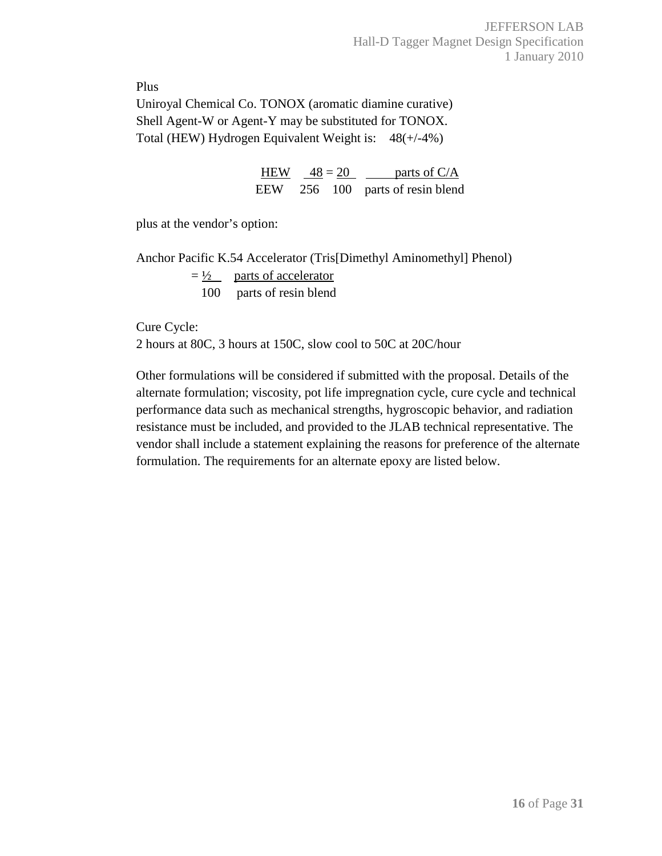Plus

Uniroyal Chemical Co. TONOX (aromatic diamine curative) Shell Agent-W or Agent-Y may be substituted for TONOX. Total (HEW) Hydrogen Equivalent Weight is: 48(+/-4%)

| <b>HEW</b> | $48 = 20$ |  | parts of C/A                     |  |  |
|------------|-----------|--|----------------------------------|--|--|
|            |           |  | EEW 256 100 parts of resin blend |  |  |

plus at the vendor's option:

Anchor Pacific K.54 Accelerator (Tris[Dimethyl Aminomethyl] Phenol)  $=\frac{1}{2}$  parts of accelerator 100 parts of resin blend

Cure Cycle:

2 hours at 80C, 3 hours at 150C, slow cool to 50C at 20C/hour

Other formulations will be considered if submitted with the proposal. Details of the alternate formulation; viscosity, pot life impregnation cycle, cure cycle and technical performance data such as mechanical strengths, hygroscopic behavior, and radiation resistance must be included, and provided to the JLAB technical representative. The vendor shall include a statement explaining the reasons for preference of the alternate formulation. The requirements for an alternate epoxy are listed below.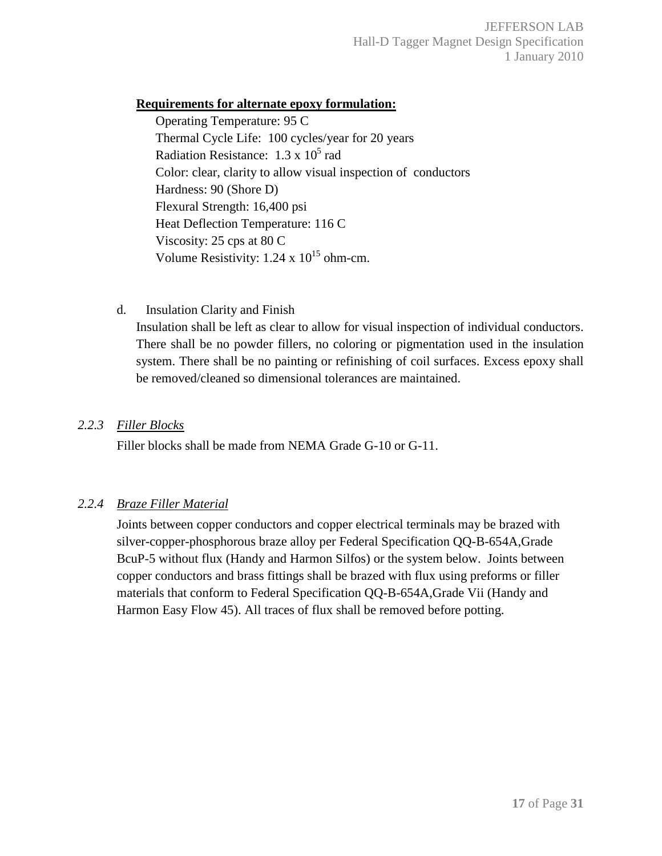## **Requirements for alternate epoxy formulation:**

Operating Temperature: 95 C Thermal Cycle Life: 100 cycles/year for 20 years Radiation Resistance:  $1.3 \times 10^5$  rad Color: clear, clarity to allow visual inspection of conductors Hardness: 90 (Shore D) Flexural Strength: 16,400 psi Heat Deflection Temperature: 116 C Viscosity: 25 cps at 80 C Volume Resistivity:  $1.24 \times 10^{15}$  ohm-cm.

d. Insulation Clarity and Finish

Insulation shall be left as clear to allow for visual inspection of individual conductors. There shall be no powder fillers, no coloring or pigmentation used in the insulation system. There shall be no painting or refinishing of coil surfaces. Excess epoxy shall be removed/cleaned so dimensional tolerances are maintained.

## *2.2.3 Filler Blocks*

Filler blocks shall be made from NEMA Grade G-10 or G-11.

# *2.2.4 Braze Filler Material*

Joints between copper conductors and copper electrical terminals may be brazed with silver-copper-phosphorous braze alloy per Federal Specification QQ-B-654A,Grade BcuP-5 without flux (Handy and Harmon Silfos) or the system below. Joints between copper conductors and brass fittings shall be brazed with flux using preforms or filler materials that conform to Federal Specification QQ-B-654A,Grade Vii (Handy and Harmon Easy Flow 45). All traces of flux shall be removed before potting.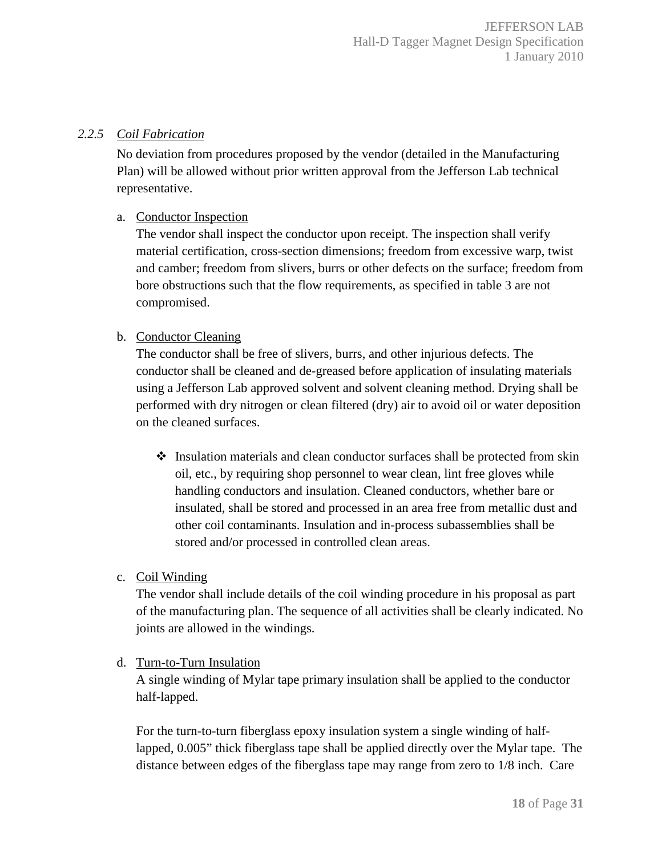#### *2.2.5 Coil Fabrication*

No deviation from procedures proposed by the vendor (detailed in the Manufacturing Plan) will be allowed without prior written approval from the Jefferson Lab technical representative.

## a. Conductor Inspection

The vendor shall inspect the conductor upon receipt. The inspection shall verify material certification, cross-section dimensions; freedom from excessive warp, twist and camber; freedom from slivers, burrs or other defects on the surface; freedom from bore obstructions such that the flow requirements, as specified in table 3 are not compromised.

## b. Conductor Cleaning

The conductor shall be free of slivers, burrs, and other injurious defects. The conductor shall be cleaned and de-greased before application of insulating materials using a Jefferson Lab approved solvent and solvent cleaning method. Drying shall be performed with dry nitrogen or clean filtered (dry) air to avoid oil or water deposition on the cleaned surfaces.

- $\triangleleft$  Insulation materials and clean conductor surfaces shall be protected from skin oil, etc., by requiring shop personnel to wear clean, lint free gloves while handling conductors and insulation. Cleaned conductors, whether bare or insulated, shall be stored and processed in an area free from metallic dust and other coil contaminants. Insulation and in-process subassemblies shall be stored and/or processed in controlled clean areas.
- c. Coil Winding

The vendor shall include details of the coil winding procedure in his proposal as part of the manufacturing plan. The sequence of all activities shall be clearly indicated. No joints are allowed in the windings.

## d. Turn-to-Turn Insulation

A single winding of Mylar tape primary insulation shall be applied to the conductor half-lapped.

For the turn-to-turn fiberglass epoxy insulation system a single winding of halflapped, 0.005" thick fiberglass tape shall be applied directly over the Mylar tape. The distance between edges of the fiberglass tape may range from zero to 1/8 inch. Care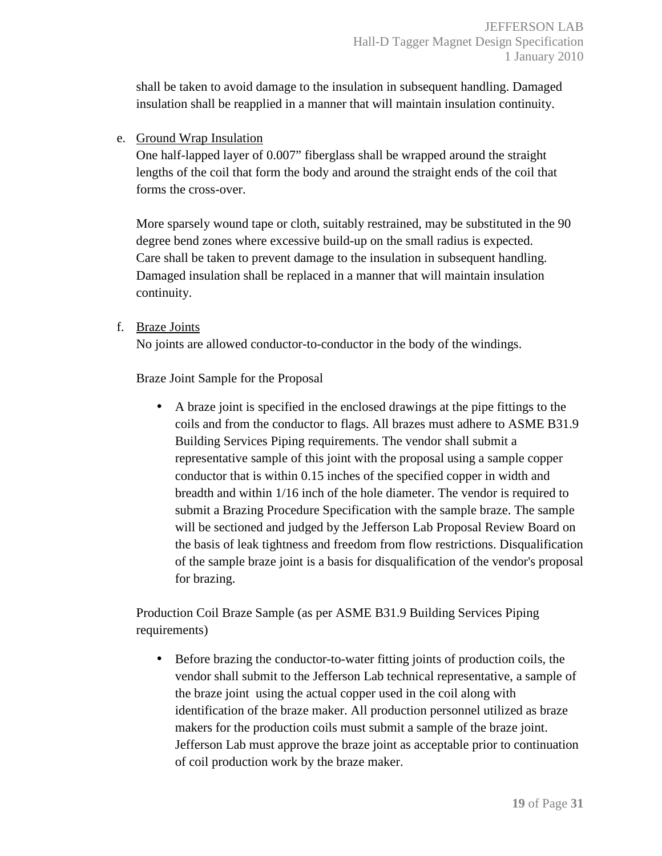shall be taken to avoid damage to the insulation in subsequent handling. Damaged insulation shall be reapplied in a manner that will maintain insulation continuity.

e. Ground Wrap Insulation

One half-lapped layer of 0.007" fiberglass shall be wrapped around the straight lengths of the coil that form the body and around the straight ends of the coil that forms the cross-over.

More sparsely wound tape or cloth, suitably restrained, may be substituted in the 90 degree bend zones where excessive build-up on the small radius is expected. Care shall be taken to prevent damage to the insulation in subsequent handling. Damaged insulation shall be replaced in a manner that will maintain insulation continuity.

f. Braze Joints

No joints are allowed conductor-to-conductor in the body of the windings.

Braze Joint Sample for the Proposal

• A braze joint is specified in the enclosed drawings at the pipe fittings to the coils and from the conductor to flags. All brazes must adhere to ASME B31.9 Building Services Piping requirements. The vendor shall submit a representative sample of this joint with the proposal using a sample copper conductor that is within 0.15 inches of the specified copper in width and breadth and within 1/16 inch of the hole diameter. The vendor is required to submit a Brazing Procedure Specification with the sample braze. The sample will be sectioned and judged by the Jefferson Lab Proposal Review Board on the basis of leak tightness and freedom from flow restrictions. Disqualification of the sample braze joint is a basis for disqualification of the vendor's proposal for brazing.

Production Coil Braze Sample (as per ASME B31.9 Building Services Piping requirements)

• Before brazing the conductor-to-water fitting joints of production coils, the vendor shall submit to the Jefferson Lab technical representative, a sample of the braze joint using the actual copper used in the coil along with identification of the braze maker. All production personnel utilized as braze makers for the production coils must submit a sample of the braze joint. Jefferson Lab must approve the braze joint as acceptable prior to continuation of coil production work by the braze maker.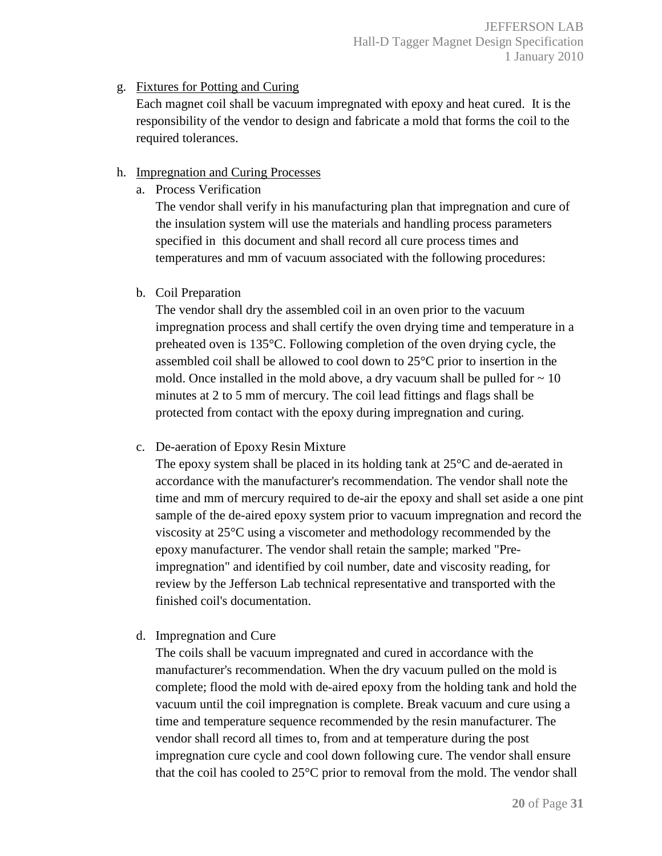# g. Fixtures for Potting and Curing

Each magnet coil shall be vacuum impregnated with epoxy and heat cured. It is the responsibility of the vendor to design and fabricate a mold that forms the coil to the required tolerances.

## h. Impregnation and Curing Processes

a. Process Verification

The vendor shall verify in his manufacturing plan that impregnation and cure of the insulation system will use the materials and handling process parameters specified in this document and shall record all cure process times and temperatures and mm of vacuum associated with the following procedures:

b. Coil Preparation

The vendor shall dry the assembled coil in an oven prior to the vacuum impregnation process and shall certify the oven drying time and temperature in a preheated oven is 135°C. Following completion of the oven drying cycle, the assembled coil shall be allowed to cool down to 25°C prior to insertion in the mold. Once installed in the mold above, a dry vacuum shall be pulled for  $\sim 10$ minutes at 2 to 5 mm of mercury. The coil lead fittings and flags shall be protected from contact with the epoxy during impregnation and curing.

c. De-aeration of Epoxy Resin Mixture

The epoxy system shall be placed in its holding tank at  $25^{\circ}$ C and de-aerated in accordance with the manufacturer's recommendation. The vendor shall note the time and mm of mercury required to de-air the epoxy and shall set aside a one pint sample of the de-aired epoxy system prior to vacuum impregnation and record the viscosity at 25°C using a viscometer and methodology recommended by the epoxy manufacturer. The vendor shall retain the sample; marked "Preimpregnation" and identified by coil number, date and viscosity reading, for review by the Jefferson Lab technical representative and transported with the finished coil's documentation.

d. Impregnation and Cure

The coils shall be vacuum impregnated and cured in accordance with the manufacturer's recommendation. When the dry vacuum pulled on the mold is complete; flood the mold with de-aired epoxy from the holding tank and hold the vacuum until the coil impregnation is complete. Break vacuum and cure using a time and temperature sequence recommended by the resin manufacturer. The vendor shall record all times to, from and at temperature during the post impregnation cure cycle and cool down following cure. The vendor shall ensure that the coil has cooled to 25°C prior to removal from the mold. The vendor shall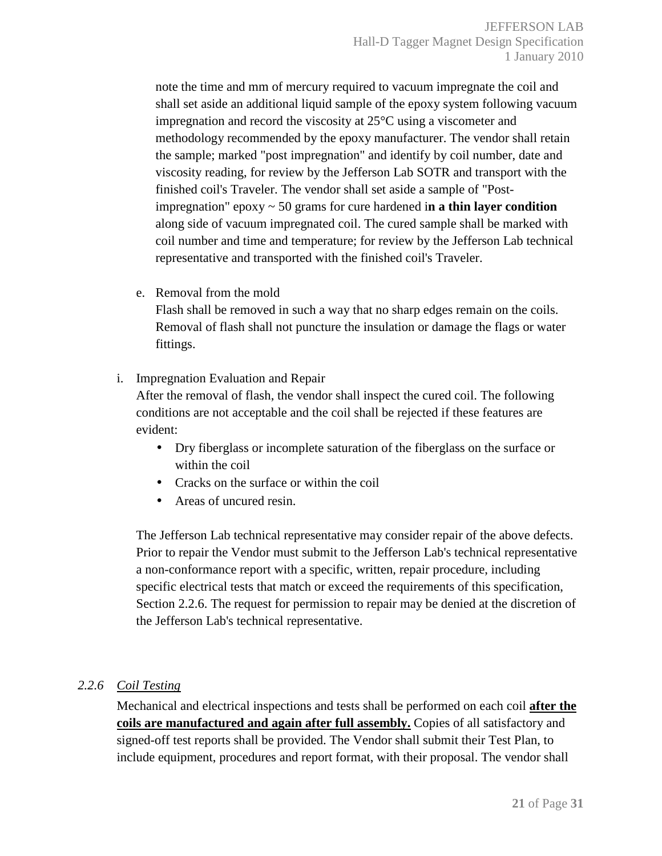note the time and mm of mercury required to vacuum impregnate the coil and shall set aside an additional liquid sample of the epoxy system following vacuum impregnation and record the viscosity at 25°C using a viscometer and methodology recommended by the epoxy manufacturer. The vendor shall retain the sample; marked "post impregnation" and identify by coil number, date and viscosity reading, for review by the Jefferson Lab SOTR and transport with the finished coil's Traveler. The vendor shall set aside a sample of "Postimpregnation" epoxy ~ 50 grams for cure hardened i**n a thin layer condition**  along side of vacuum impregnated coil. The cured sample shall be marked with coil number and time and temperature; for review by the Jefferson Lab technical representative and transported with the finished coil's Traveler.

e. Removal from the mold

Flash shall be removed in such a way that no sharp edges remain on the coils. Removal of flash shall not puncture the insulation or damage the flags or water fittings.

i. Impregnation Evaluation and Repair

After the removal of flash, the vendor shall inspect the cured coil. The following conditions are not acceptable and the coil shall be rejected if these features are evident:

- Dry fiberglass or incomplete saturation of the fiberglass on the surface or within the coil
- Cracks on the surface or within the coil
- Areas of uncured resin.

The Jefferson Lab technical representative may consider repair of the above defects. Prior to repair the Vendor must submit to the Jefferson Lab's technical representative a non-conformance report with a specific, written, repair procedure, including specific electrical tests that match or exceed the requirements of this specification, Section 2.2.6. The request for permission to repair may be denied at the discretion of the Jefferson Lab's technical representative.

## *2.2.6 Coil Testing*

Mechanical and electrical inspections and tests shall be performed on each coil **after the coils are manufactured and again after full assembly.** Copies of all satisfactory and signed-off test reports shall be provided. The Vendor shall submit their Test Plan, to include equipment, procedures and report format, with their proposal. The vendor shall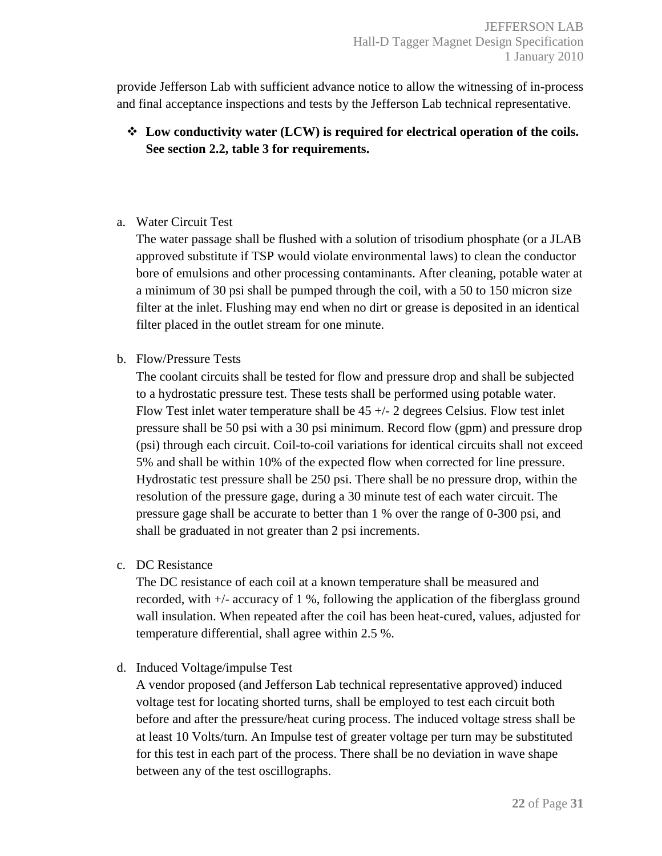provide Jefferson Lab with sufficient advance notice to allow the witnessing of in-process and final acceptance inspections and tests by the Jefferson Lab technical representative.

# **Low conductivity water (LCW) is required for electrical operation of the coils. See section 2.2, table 3 for requirements.**

## a. Water Circuit Test

The water passage shall be flushed with a solution of trisodium phosphate (or a JLAB approved substitute if TSP would violate environmental laws) to clean the conductor bore of emulsions and other processing contaminants. After cleaning, potable water at a minimum of 30 psi shall be pumped through the coil, with a 50 to 150 micron size filter at the inlet. Flushing may end when no dirt or grease is deposited in an identical filter placed in the outlet stream for one minute.

#### b. Flow/Pressure Tests

The coolant circuits shall be tested for flow and pressure drop and shall be subjected to a hydrostatic pressure test. These tests shall be performed using potable water. Flow Test inlet water temperature shall be 45 +/- 2 degrees Celsius. Flow test inlet pressure shall be 50 psi with a 30 psi minimum. Record flow (gpm) and pressure drop (psi) through each circuit. Coil-to-coil variations for identical circuits shall not exceed 5% and shall be within 10% of the expected flow when corrected for line pressure. Hydrostatic test pressure shall be 250 psi. There shall be no pressure drop, within the resolution of the pressure gage, during a 30 minute test of each water circuit. The pressure gage shall be accurate to better than 1 % over the range of 0-300 psi, and shall be graduated in not greater than 2 psi increments.

## c. DC Resistance

The DC resistance of each coil at a known temperature shall be measured and recorded, with +/- accuracy of 1 %, following the application of the fiberglass ground wall insulation. When repeated after the coil has been heat-cured, values, adjusted for temperature differential, shall agree within 2.5 %.

## d. Induced Voltage/impulse Test

A vendor proposed (and Jefferson Lab technical representative approved) induced voltage test for locating shorted turns, shall be employed to test each circuit both before and after the pressure/heat curing process. The induced voltage stress shall be at least 10 Volts/turn. An Impulse test of greater voltage per turn may be substituted for this test in each part of the process. There shall be no deviation in wave shape between any of the test oscillographs.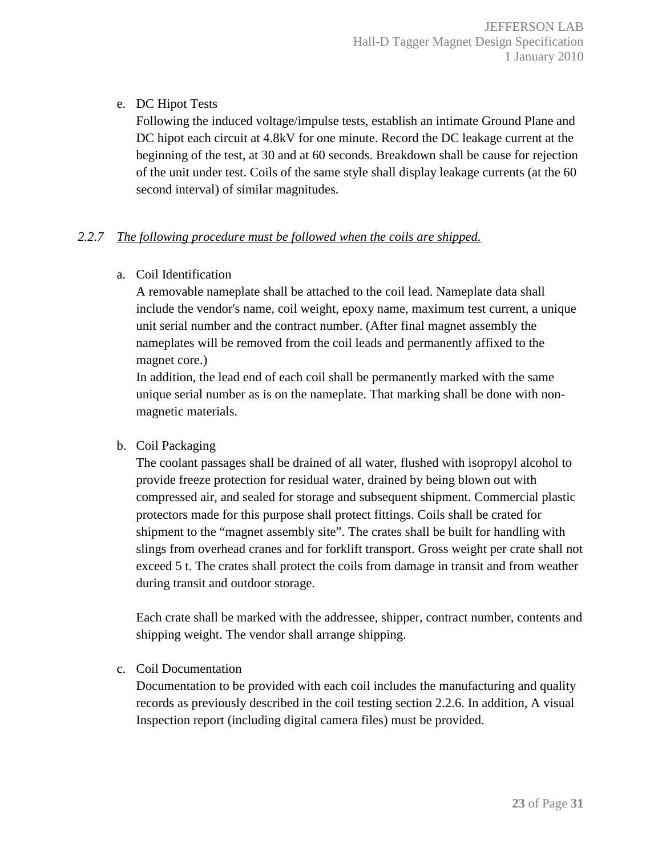e. DC Hipot Tests

Following the induced voltage/impulse tests, establish an intimate Ground Plane and DC hipot each circuit at 4.8kV for one minute. Record the DC leakage current at the beginning of the test, at 30 and at 60 seconds. Breakdown shall be cause for rejection of the unit under test. Coils of the same style shall display leakage currents (at the 60 second interval) of similar magnitudes.

## *2.2.7 The following procedure must be followed when the coils are shipped.*

a. Coil Identification

A removable nameplate shall be attached to the coil lead. Nameplate data shall include the vendor's name, coil weight, epoxy name, maximum test current, a unique unit serial number and the contract number. (After final magnet assembly the nameplates will be removed from the coil leads and permanently affixed to the magnet core.)

In addition, the lead end of each coil shall be permanently marked with the same unique serial number as is on the nameplate. That marking shall be done with nonmagnetic materials.

b. Coil Packaging

The coolant passages shall be drained of all water, flushed with isopropyl alcohol to provide freeze protection for residual water, drained by being blown out with compressed air, and sealed for storage and subsequent shipment. Commercial plastic protectors made for this purpose shall protect fittings. Coils shall be crated for shipment to the "magnet assembly site". The crates shall be built for handling with slings from overhead cranes and for forklift transport. Gross weight per crate shall not exceed 5 t. The crates shall protect the coils from damage in transit and from weather during transit and outdoor storage.

Each crate shall be marked with the addressee, shipper, contract number, contents and shipping weight. The vendor shall arrange shipping.

c. Coil Documentation

Documentation to be provided with each coil includes the manufacturing and quality records as previously described in the coil testing section 2.2.6. In addition, A visual Inspection report (including digital camera files) must be provided.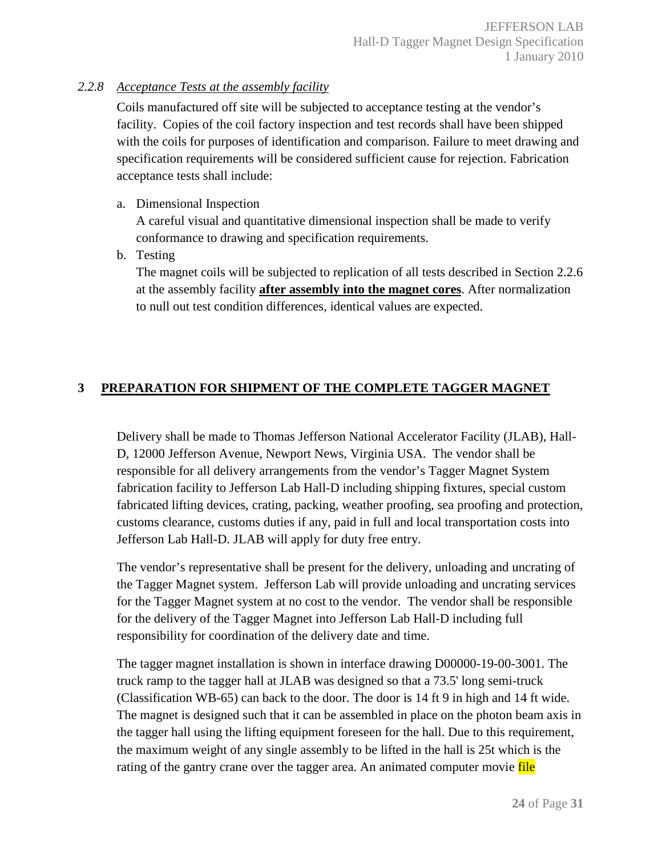## *2.2.8 Acceptance Tests at the assembly facility*

Coils manufactured off site will be subjected to acceptance testing at the vendor's facility. Copies of the coil factory inspection and test records shall have been shipped with the coils for purposes of identification and comparison. Failure to meet drawing and specification requirements will be considered sufficient cause for rejection. Fabrication acceptance tests shall include:

## a. Dimensional Inspection

A careful visual and quantitative dimensional inspection shall be made to verify conformance to drawing and specification requirements.

b. Testing

The magnet coils will be subjected to replication of all tests described in Section 2.2.6 at the assembly facility **after assembly into the magnet cores**. After normalization to null out test condition differences, identical values are expected.

# **3 PREPARATION FOR SHIPMENT OF THE COMPLETE TAGGER MAGNET**

Delivery shall be made to Thomas Jefferson National Accelerator Facility (JLAB), Hall-D, 12000 Jefferson Avenue, Newport News, Virginia USA. The vendor shall be responsible for all delivery arrangements from the vendor's Tagger Magnet System fabrication facility to Jefferson Lab Hall-D including shipping fixtures, special custom fabricated lifting devices, crating, packing, weather proofing, sea proofing and protection, customs clearance, customs duties if any, paid in full and local transportation costs into Jefferson Lab Hall-D. JLAB will apply for duty free entry.

The vendor's representative shall be present for the delivery, unloading and uncrating of the Tagger Magnet system. Jefferson Lab will provide unloading and uncrating services for the Tagger Magnet system at no cost to the vendor. The vendor shall be responsible for the delivery of the Tagger Magnet into Jefferson Lab Hall-D including full responsibility for coordination of the delivery date and time.

The tagger magnet installation is shown in interface drawing D00000-19-00-3001. The truck ramp to the tagger hall at JLAB was designed so that a 73.5' long semi-truck (Classification WB-65) can back to the door. The door is 14 ft 9 in high and 14 ft wide. The magnet is designed such that it can be assembled in place on the photon beam axis in the tagger hall using the lifting equipment foreseen for the hall. Due to this requirement, the maximum weight of any single assembly to be lifted in the hall is 25t which is the rating of the gantry crane over the tagger area. An animated computer movie file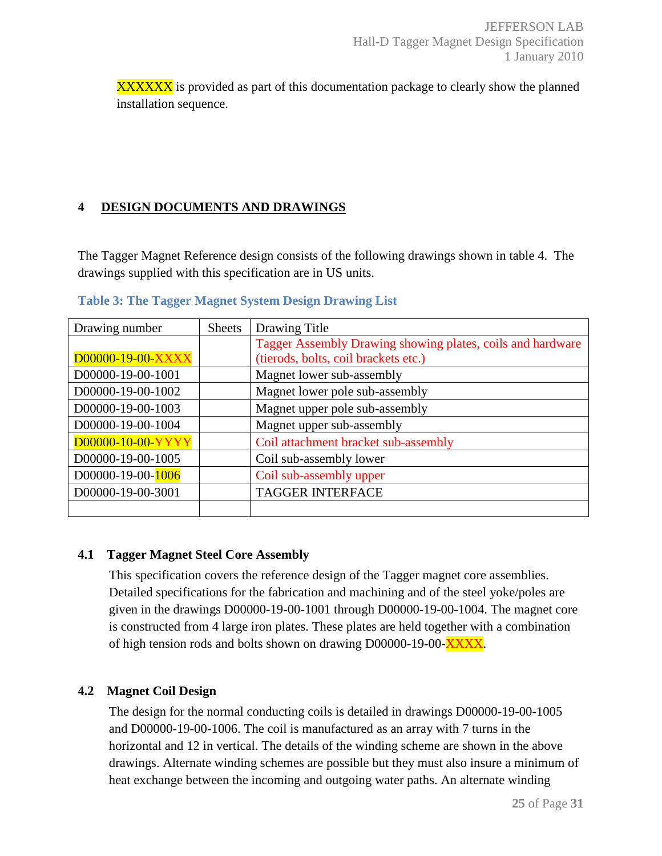**XXXXXX** is provided as part of this documentation package to clearly show the planned installation sequence.

## **4 DESIGN DOCUMENTS AND DRAWINGS**

The Tagger Magnet Reference design consists of the following drawings shown in table 4. The drawings supplied with this specification are in US units.

| Drawing number    | <b>Sheets</b> | Drawing Title                                              |
|-------------------|---------------|------------------------------------------------------------|
|                   |               | Tagger Assembly Drawing showing plates, coils and hardware |
| D00000-19-00-XXXX |               | (tierods, bolts, coil brackets etc.)                       |
| D00000-19-00-1001 |               | Magnet lower sub-assembly                                  |
| D00000-19-00-1002 |               | Magnet lower pole sub-assembly                             |
| D00000-19-00-1003 |               | Magnet upper pole sub-assembly                             |
| D00000-19-00-1004 |               | Magnet upper sub-assembly                                  |
| D00000-10-00-YYYY |               | Coil attachment bracket sub-assembly                       |
| D00000-19-00-1005 |               | Coil sub-assembly lower                                    |
| D00000-19-00-1006 |               | Coil sub-assembly upper                                    |
| D00000-19-00-3001 |               | <b>TAGGER INTERFACE</b>                                    |
|                   |               |                                                            |

**Table 3: The Tagger Magnet System Design Drawing List** 

# **4.1 Tagger Magnet Steel Core Assembly**

This specification covers the reference design of the Tagger magnet core assemblies. Detailed specifications for the fabrication and machining and of the steel yoke/poles are given in the drawings D00000-19-00-1001 through D00000-19-00-1004. The magnet core is constructed from 4 large iron plates. These plates are held together with a combination of high tension rods and bolts shown on drawing D00000-19-00-XXXX.

# **4.2 Magnet Coil Design**

The design for the normal conducting coils is detailed in drawings D00000-19-00-1005 and D00000-19-00-1006. The coil is manufactured as an array with 7 turns in the horizontal and 12 in vertical. The details of the winding scheme are shown in the above drawings. Alternate winding schemes are possible but they must also insure a minimum of heat exchange between the incoming and outgoing water paths. An alternate winding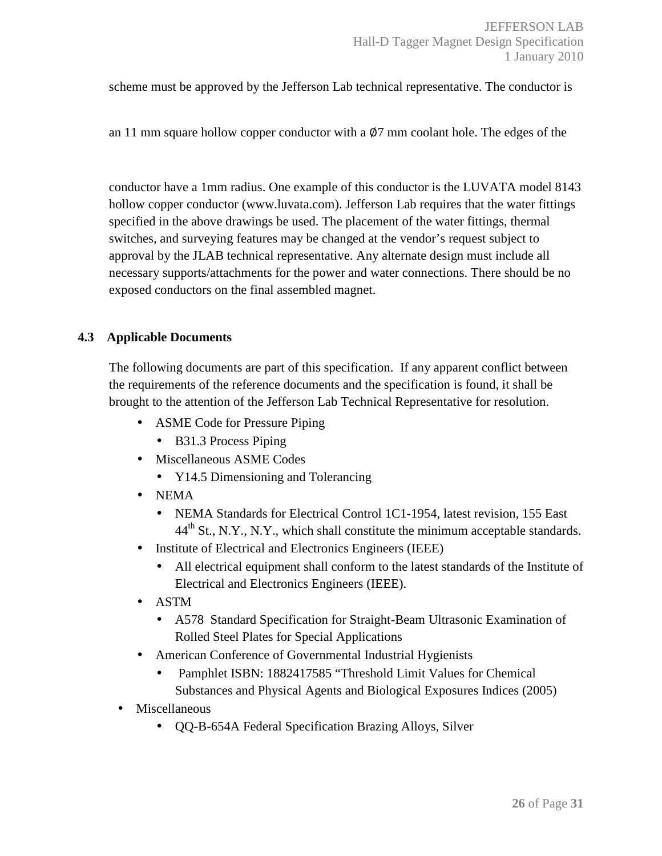scheme must be approved by the Jefferson Lab technical representative. The conductor is

an 11 mm square hollow copper conductor with a  $\varnothing$ 7 mm coolant hole. The edges of the

conductor have a 1mm radius. One example of this conductor is the LUVATA model 8143 hollow copper conductor (www.luvata.com). Jefferson Lab requires that the water fittings specified in the above drawings be used. The placement of the water fittings, thermal switches, and surveying features may be changed at the vendor's request subject to approval by the JLAB technical representative. Any alternate design must include all necessary supports/attachments for the power and water connections. There should be no exposed conductors on the final assembled magnet.

#### **4.3 Applicable Documents**

The following documents are part of this specification. If any apparent conflict between the requirements of the reference documents and the specification is found, it shall be brought to the attention of the Jefferson Lab Technical Representative for resolution.

- ASME Code for Pressure Piping
	- B31.3 Process Piping
- Miscellaneous ASME Codes
	- Y14.5 Dimensioning and Tolerancing
- NEMA
	- NEMA Standards for Electrical Control 1C1-1954, latest revision, 155 East  $44<sup>th</sup>$  St., N.Y., N.Y., which shall constitute the minimum acceptable standards.
- Institute of Electrical and Electronics Engineers (IEEE)
	- All electrical equipment shall conform to the latest standards of the Institute of Electrical and Electronics Engineers (IEEE).
- ASTM
	- A578 Standard Specification for Straight-Beam Ultrasonic Examination of Rolled Steel Plates for Special Applications
- American Conference of Governmental Industrial Hygienists
	- Pamphlet ISBN: 1882417585 "Threshold Limit Values for Chemical Substances and Physical Agents and Biological Exposures Indices (2005)
- **Miscellaneous** 
	- QQ-B-654A Federal Specification Brazing Alloys, Silver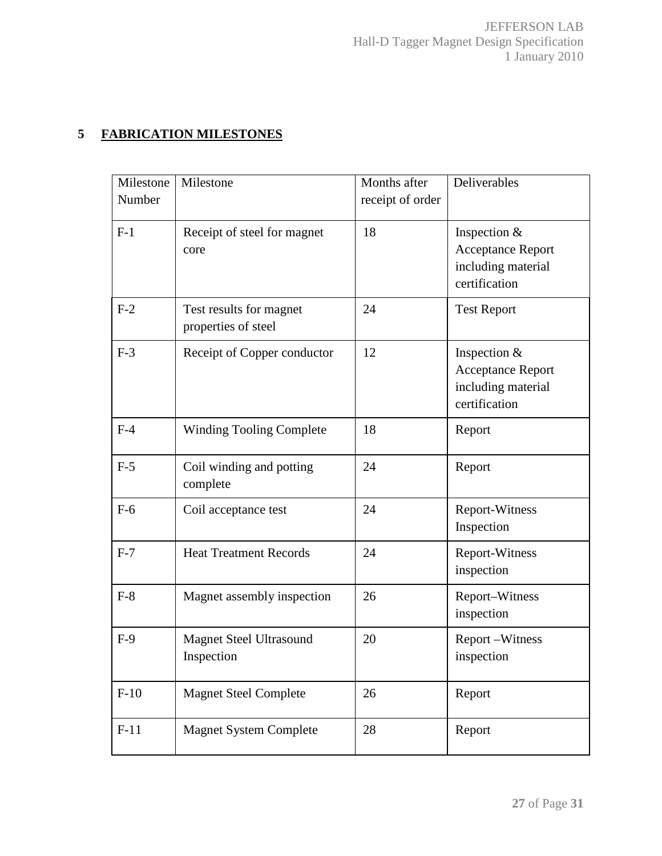# **5 FABRICATION MILESTONES**

| Milestone | Milestone                                      | Months after     | Deliverables                                                                      |
|-----------|------------------------------------------------|------------------|-----------------------------------------------------------------------------------|
| Number    |                                                | receipt of order |                                                                                   |
| $F-1$     | Receipt of steel for magnet<br>core            | 18               | Inspection &<br>Acceptance Report<br>including material<br>certification          |
| $F-2$     | Test results for magnet<br>properties of steel | 24               | <b>Test Report</b>                                                                |
| $F-3$     | Receipt of Copper conductor                    | 12               | Inspection $&$<br><b>Acceptance Report</b><br>including material<br>certification |
| $F-4$     | <b>Winding Tooling Complete</b>                | 18               | Report                                                                            |
| $F-5$     | Coil winding and potting<br>complete           | 24               | Report                                                                            |
| $F-6$     | Coil acceptance test                           | 24               | Report-Witness<br>Inspection                                                      |
| $F-7$     | <b>Heat Treatment Records</b>                  | 24               | <b>Report-Witness</b><br>inspection                                               |
| $F-8$     | Magnet assembly inspection                     | 26               | Report-Witness<br>inspection                                                      |
| $F-9$     | <b>Magnet Steel Ultrasound</b><br>Inspection   | 20               | Report-Witness<br>inspection                                                      |
| $F-10$    | <b>Magnet Steel Complete</b>                   | 26               | Report                                                                            |
| $F-11$    | <b>Magnet System Complete</b>                  | 28               | Report                                                                            |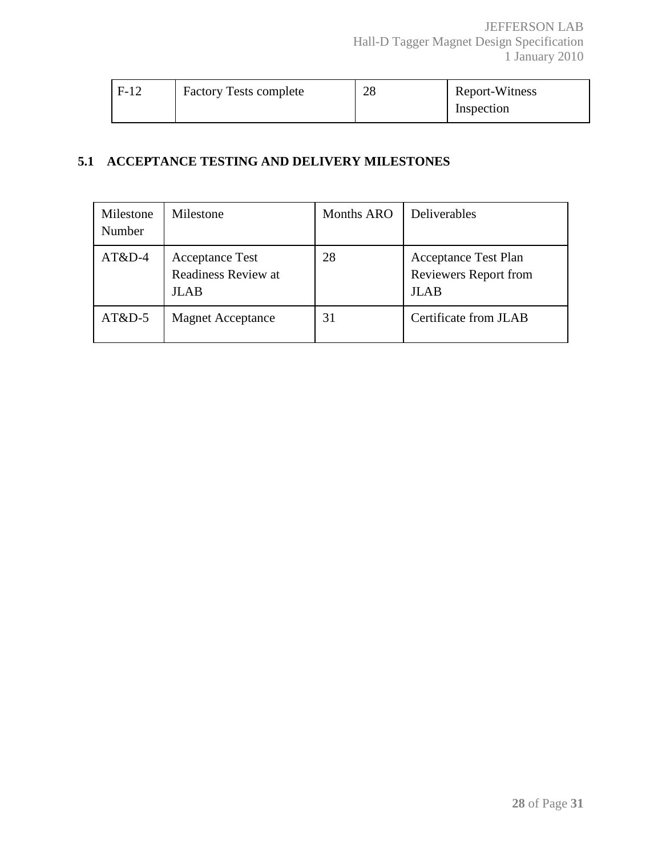| $F-12$ | <b>Factory Tests complete</b> | 28 | Report-Witness |
|--------|-------------------------------|----|----------------|
|        |                               |    | Inspection     |

## **5.1 ACCEPTANCE TESTING AND DELIVERY MILESTONES**

| Milestone<br>Number | Milestone                                             | <b>Months ARO</b> | Deliverables                                                               |
|---------------------|-------------------------------------------------------|-------------------|----------------------------------------------------------------------------|
| $AT&D-4$            | <b>Acceptance Test</b><br>Readiness Review at<br>JLAB | 28                | <b>Acceptance Test Plan</b><br><b>Reviewers Report from</b><br><b>JLAB</b> |
| $AT&D-5$            | <b>Magnet Acceptance</b>                              | 31                | Certificate from JLAB                                                      |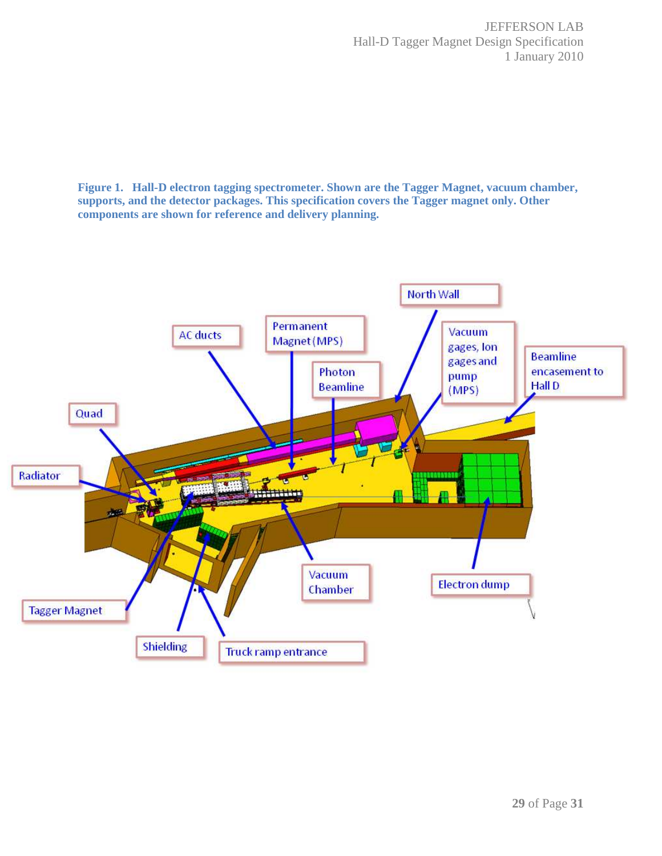**Figure 1. Hall-D electron tagging spectrometer. Shown are the Tagger Magnet, vacuum chamber, supports, and the detector packages. This specification covers the Tagger magnet only. Other components are shown for reference and delivery planning.** 

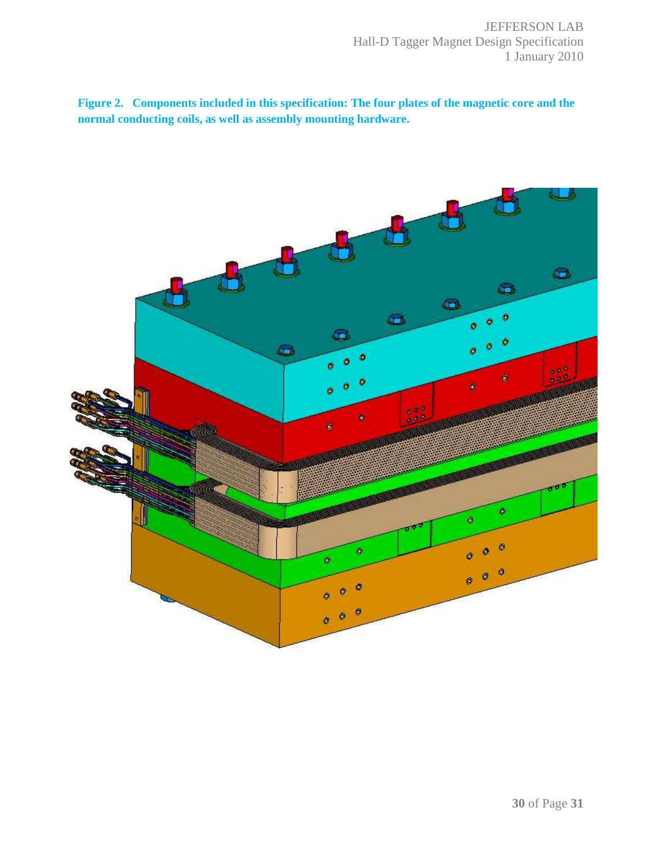**Figure 2. Components included in this specification: The four plates of the magnetic core and the normal conducting coils, as well as assembly mounting hardware.**